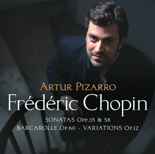# **ARTUR PIZARRO** Frédéric Chopin

SONATAS OPP.35 & 58 **BARCAROLLE OP.60 - VARIATIONS OP.12**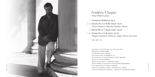

## Frédéric Chopin **Artur Pizarro** piano

- <sup>1</sup> **Variations Brillantes Op.12**
- 2 5 **Sonata No.2 in B-flat minor Op.35** Grave; Scherzo; Marche Funébre; Presto
	- <sup>6</sup> **Barcarolle in F-sharp major Op.60**
- 7 10 **Sonata No.3 in B minor Op.58** Allegro maestoso; Scherzo; Largo; Presto non tanto

TOTAL TIME : 77.22

recorded at **potton hall**, uk, 17-24 june 2004 produced by **philip hobbs** engineered by **julia thomas** post production at **finesplice**, uk photographs of artur pizarro by **sven arnstein** design by **the art surgery** project management – **caroline dooley** artur pizarro is managed by **tom croxon management** piano preparation by **bruno torrens** painting of frederic chopin, after 1900, by **b. franz** after contemporary portrait – supplied by **akg images london**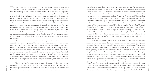THE ROMANTIC PERIOD IN MUSIC IS OFTEN COMMONLY UNDERSTOOD AS A RELATIVELY continuous evolution in style stretching from Beethoven's last years until the beginning of the 20<sup>th</sup> century. In typical time delay, however, the beginning of exploration of the romantic sensitivity and aesthetic goals applied to music virtually coincided with the end of that stylistic current in the literature, where the music had found its inspiration in the early 19<sup>th</sup> century. As this was the era of the foundation of many music conservatories in Europe, where, for educational purposes, the practice of the previous - classical - era was codified, there was a need to define the current meaning of the term "sonata", its principal form, both as a four-movement form and in its more restricted reference to the first movements of sonatas, symphonies and chamber music forms such as the string quartet. Music theorists began to refer to the sonata as an ideal in music and subsequently the word "sonata" was used regarding the musical form as well as particular works. This led to the 19<sup>th</sup>-century theory notion of the "sonata principle" according to which a symphony was understood as a "sonata for orchestra".

The "sonata principle" was described in gender-biased terms as one of opposition between two groups of themes, where the characteristic of the first theme was "masculine", that is energetic and rhythmic and the second theme was based more on vocal melody, and therefore considered "feminine". For many influential theoreticians, such as Wagner, the implied contrast represented the core of the tension necessary to develop musical material in a coherent form. Particularly the first movement of the form, known as "Sonata-Allegro", had been the subject of theoretical works and was seen as the most important aspect of compositional technique. In consequence,  $19<sup>th</sup>$ -century composers were taught to favour this form over others.

The formal plan for writing sonatas largely did away with the monothematic exposition, more common at the time than nowadays recognized, and the two theme groups were expected to contrast in character. It is only understandable that Romantic composers frequently found themselves torn between the freedom of poetical expression and the rigour of formal design, although later Romantic theory even proposed that the "sonata principle" should be applied to all the movements of a "sonata-form" work. The theoretical explanation of differences between the three and the four movement layouts was that the "concerto" (considered "Italianate") was laid out in three movements, and the "symphony" (considered "German") in four, the latter being the superior layout. Chopin's three piano sonatas, for example, follow the "symphonic layout", and because the "sonata" concept now referred to the layout of the whole work, theoreticians would often feel the need to rationalize the use of the word, as was the case of J.W. Davison, in his The Works of Fredrick Chopin (1843): "Such are the impressions to which we are subject under the influence of this wonderful work - a very triumph of musical picturing - a conquest over what would seem it be unconquerable - viz. - the mingling of the physical and metaphysical in music - the sonata representing a dual picture - … the battle of the actual elements and the conflict of human passions - the first for the multitude, the last for the initiated".

Following the trend established by Beethoven and the parallels between Romantic poetry and music, the focus became more and more on the development section, and terms such as "rhapsody" and "tone poem" entered music. The sonatas of the Romantic period reflect the variety of personal and rising national styles, while generally falling into two categories: those by composers such as Schubert, Chopin, Schumann and Brahms expand the traditional form while still adhering to its principles; the other category includes works more experimental in nature and in form, such as both sonatas by Liszt. A widely held view maintains, however, that the sonata is a quintessential reflection of the Classical style only and that it hindered spontaneous musical development afterwards. Indeed, if one were to compare Mozart's and Beethoven's total sonata output (70 and 55 sonatas, respectively) with the next generation's significantly - in numbers, at least - scarcer contribution (13 by Mendelssohn, 8 by Schumann and Brahms, 4 by Chopin and 2 by Liszt), the most obvious explanation would be that the composers were gradually abandoning the form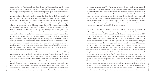since it stifled their freedom and natural development of the musical material. However, an alternative interpretation of these figures might find the reason for the decrease in the rising relative importance of a sonata in a composer's opus: as indicated by Rosen, after Beethoven the sonata was the vehicle of the sublime and symbolised greatness just as the fugue did craftsmanship, raising therefore the level of responsibility of the composer. The task was being made more difficult by the contemporary critics' contention that Romantic composers were inexperienced in handling complex structures and development procedures, and incapable of conceiving large organic wholes – in comparison to the Classical greats, that is. This situation culminated at one point in Schumann's declaration of the death of the sonata. Amusingly enough, he backtracked a few years later, lamenting that now everyone was writing miniatures and that there was a need for larger forms, such as sonatas, symphonies and string quartets (needless to say, all of them employing the sonata principle). Because of the relative formal restrictions, however, most composers returned to the original formal layout rather than continuing the exploration and development of the form. Therefore, although the notion of sonata was for the most part of its existence intrinsically related to tonal harmony (where it could be defined in terms of key groups and conclusive tonal cadences), even the gradual weakening, and then loss, of tonal functionality in the 20<sup>th</sup> century did not lessen the importance of the tradition of the "sonata idea" or do away with the use of the term "sonata".

After a juvenile (written for his teacher Elsner as a compositional problem), monothematic but procedurally encumbered attempt (Sonata Op.4 in C minor), Chopin's Second and Third Sonata show clearly the complexity of the Romantic approach to sonata: although their formal plan and the application of thematic procedures related to Austro-German tradition can clearly be associated with the past model, Chopin's musical language and expression add a very distinctive quality and individuality to these works. His language was formed by the influences of the concert and salon music of the early 19<sup>th</sup> century and enriched by genres such as the keyboard works by J.S. Bach and Italian opera arias (his melodic lines having been defined

as ornamental in nature). The formal modifications Chopin made to the classical model result in Romantic sonatas with intensified contrasts and multiple changes of rhythm and tempi, often even within individual movements. The most notable formal difference is that a scherzo appears as the second movement and the third movement is slow (something Beethoven has also done after the Sonata Op.26), while the overall contrast between those movements is more pronounced than in classical sonatas. The French pianist Alfred Cortot saw the most important shift from Beethoven's to Chopin's sonatas as the shift from inspiration by the ideals of universality to the suffusion of the music by the composer's personal feelings and emotions.

**The Sonata in B-flat minor, Op.35**, was written in 1839 and published the following year. Unusually, Chopin initially approved the Sonata funébre title, but later took out the adjective in the  $3<sup>rd</sup>$  French edition. He described the work in an August 1839 letter to Julian Fontana thus: "Here I am writing a Sonata in B-flat minor, containing the march that you know. There is an allegro, then a Scherzo in E-flat minor, the march and short finale, perhaps 3 of my pages; the left hand in unison with the right, gossiping after the march." As is apparent from this remark, the Funeral March was composed earlier, probably in 1837, as witnessed by an album leaf containing the first eight bars of the Trio and dated "Paris, 28. September 1837". This movement was orchestrated by Henri Reber to be played in the Madeleine's Church in Paris at Chopin's own funeral in October 1849. The other three movements were concluded in the summer of 1839, in George Sand's manor house at Nohant, right after their return from Majorca. While quickly gaining popularity, the work was misunderstood by critics from the very beginning. Thus, while Anton Rubinstein called the piece "Death poem", Robert Schumann was baffled by it, admitting it possessed beauty, but apparently misunderstanding its musical ideas and the structure, since he referred to it as "four of Chopin's maddest children under the same roof" and to the last movement, devoid of melody and clear key, as "a jeer, but not music". There was something of a tradition of belittling Chopin's attempts at sonata form in general, and here it was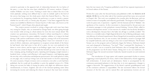centred in particular in the apparent lack of relationship between the two halves of the piece  $-$  a view that has since been rebuffed by  $20<sup>th</sup>$ -century analysts. Chopin's student Wilhelm von Lenz wrote: "Nothing is easier than to reduce this trio to the tritest platitude, nothing more difficult than to raise its melodic spell to the level of the sorrow that hangs over the whole poem which this Funeral March is.… This trio is a touchstone for recognizing whether the performer is a poet or merely a pianist; whether he can tell a story or merely play the piano." It has been suggested that this sonata was modelled on Beethoven's Sonata Op.26 in A-flat major, also known as the "Funeral march", which Chopin often played and taught.

The creative process involved in writing a large-scale work must have been very taxing for Chopin, who, as witnessed by George Sand, was often going through true torment while arriving at a final solution for even the most minute detail: "His creation was spontaneous, miraculous. He found it without searching for it, without foreseeing it. It came to his piano suddenly, complete, sublime, or it sang in his head during a walk, and he would hasten to hear it again by, tossing it off on his instrument. But then would begin the most heartbreaking labour I have ever witnessed. It was a series of efforts, indecision, and impatience to recapture certain details of the theme he had heard: what had come to him all of a piece, he now over-analyzed in his desire to write it down, and his regret at not finding it again 'neat,' as he said, would throw him into a kind of despair. He would shut himself up in his room for days at a time, weeping, pacing, breaking his pens, repeating and changing a single measure a hundred times, writing it and effacing it with equal frequency, and beginning again the next day with a meticulous and desperate perseverance. He would spend six weeks on one page, only to end up writing it just as he had traced it in his first outpouring." On some occasions, Chopin revisions were so extensive, even after a work had been published, that he would ask his publisher to print the updated version of it. While taking into account his habit of issuing his pieces with slight text differences almost simultaneously in France, England, and one of the German-speaking states (thus increasing his income and reducing the chance of piracy), that must have certainly

been the true reason why Troupenas published a total of four separate impressions of its French edition of this Sonata.

Written five years after the Second Sonata and published in 1845, the **Sonata in B minor, Op.58**, lies on the other side of the transition period that many see as pivotal in Chopin's life. This work was completed a few months after the Berceuse, and was written in times of tranquillity and relatively good health. The largest of all of Chopin's works for piano solo, it represents – together with the *Fantasie* and the  $4<sup>th</sup>$  Ballade – the apotheosis of his creativity. Its first movement is characterised by the pervasive use of imitative passages in truly polyphonic musical thinking. Vincent d'Indy called its extensive development section "a true exercise of a student who has firmly decided to write a development, because that is the habit, but all logic is carefully avoided." The Scherzo is a veritable study of light-fingered dexterity but its fleeting arabesques make one oblivious of technical requirements. Bruce Hungerford recounted an anecdote told by Ernest Hutcheson who, on one occasion, had attended a recital in Carnegie Hall by Leopold Godowsky and was sitting in a box next to Josef Hofmann. The B minor Sonata was on the program and as Godowsky began the Scherzo, Hofmann leaned over and whispered to Hutcheson, "Too fast!" "Then," continued Mr. Hutcheson, "a week or so later I was at a recital by Josef Hofmann, also in Carnegie Hall, and also on the programme was the B minor Sonata. Sitting next to me was Godowsky. As Hofmann began the second movement Godowsky leaned towards me and muttered, 'Too fast!'"

The introduction of Largo opens with majestic punctuated rhythm in unison, suggesting a march played by low brass, which is then balanced by chords suggesting full orchestration. A lyrical and yet declamatory theme is accompanied by the continuous punctuated pulsation in the bass that, in its next appearance, changes to suggest a barcarole. The suggestiveness of the theme's operatic grandiloquence and of the conclusive calmness is unparalleled. The last movement follows the formal structure of the first one, and its natural flow and spontaneous lyricism are not

**b A CE B NINE**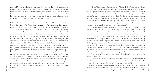restricted by the complexity of motivic development and the well-defined form. Its incessant, almost obsessive, momentum that increases with each presentation of the theme breaks out as an overwhelming force of nature in the coda, with an intensity that is hard to match in the piano literature. It is reported that Liszt used to play the last, exalted, invocation of the theme with the middle finger, supported by the thumb and index finger, to give it a vibrant and metallic sonority.

In May 1833 Chopin heard Louis Joseph Ferdinand Herold's (1791–1833) opera Ludovic, finished by Hálevy. The **Variations brillantes "Je vends des Scapulaires" Op.12,** based on the homonymous aria from the opera, are Chopin's final variation set and a virtual farewell to the virtuoso style cherished in Paris. Written after the early nocturnes and etudes and in the year he wrote his first ballade, it almost represents a regression or a final concession to the bravura stile brillante, so much clichéd – in particular in variation form – that it entered dictionaries as such: "First there are simple quavers and triplets, then arpeggios, syncopations and octaves, without forgetting the adagio in the relative mode and the tempo di polacca." (Castil-Blaze, Dictionnaire de Musique Moderne, 1825). Although Arthur Loesser called it "a masterpiece in its own way", already at the time Schumann called it "writing à la mode" and thought that "they belong altogether to the drawing-room or concert-hall, and… are far removed from any poetic sphere." This piece, together with Bolero and Rondo Op.16, represents Chopin's last attempt at such conventional and fairly anonymous writing that perpetrated the tradition of contemporary concert-hall crowd pleasers. Nevertheless, Franz Liszt apparently referred to the set as Chopin's favourite piece of his own, commenting after hearing Chopin play it for himself: "Such a poetic temperament as Chopin's never existed, nor have I ever heard such delicacy and refinement of playing. The tone, though small, was absolutely beyond criticism, and although his execution was not forcible, nor by any means fitted for the concert room, still it was perfect in the extreme."

Called "the most beautiful nocturne of all" by A. Hedley, "ravishing" by J. Rink, "messianic" by K. Stromenger and "stunning" by H. Leichentritt, Chopin's Barcarolle was also greatly admired by artists such as von Bülow and was found by M. Ravel to be "the synthesis of the expressive and sumptuous art of this great Slav", and to express "languor in excessive joy" by A. Gide. The Barcarolle represents a case in point of Chopin's ornamental genius. Ravel wrote: "Chopin was not content merely to revolutionize piano technique. His figurations are inspired. Through his brilliant passages one perceives profound, enchanting harmonies. Always there is the hidden meaning which is translated into poetry of intense despair."

Chopin may have begun his work on the Barcarolle because he suddenly found himself with time on his hands, an idea of a trip to Italy in the autumn of 1845 having been cancelled due to the opposition of George Sand's son, Maurice. The work carried over into the next year, which is when the piece was finalized and published.

Originally the typical song of Venetian gondoliers, the barcarolle was often used in the Romantic period due to its exotic ambience and the 6/8 or 12/8 lilting rhythm. J. Chantavoine suggested that Chopin's Barcarolle may have been a result of George Sand's stories about Venice. Chopin constructed it formally as one of his nocturnes, in three sections, where the middle one draws particularly on the boat-song 12/8 rhythm and imagery. Harmonically, it is one of his most advanced works and it also explores trills in a way that Beethoven has done in his late sonatas. In a 1933 article published in Warsaw, J. Iwaszkiewicz even suggests that it represents a landscape, which Chopin depicted "painting it impressionistically", adding "its water and forest do not have clear contours".

Therefore, it does not come as a surprise that the work received considerable attention from Debussy and Ravel. Debussy's student, Madame Gérarde de Romilly, reported that the piece was Debussy's favourite, indicating that "the way in which he explained and analysed this piece was something special." In addition, some similarities between this piece and Debussy's L'isle joyeuse were identified by the Chopin scholar Jim Samson. Ravel's comments on the piece, published in Le Courier Musical in 1910,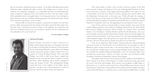give an extremely condensed and apt synopsis: "In the Barcarolle glowing harmonies clothe the subject, flexible and subtle in thirds. The melodic line is constant. In one moment, the 'melopoeia' disappears, it is suspended and then re-created delicately, softly, tempted by magical accords. The intensity increases. The new subject erupts, full of splendid lyricism, thoroughly Italian. Everything calms down. From the depth, a quick luminous trail rises and floats shimmering above the refined and tender chords. Some mysterious apotheosis comes to mind."

Charles Hallé, a friend of the composer, was present at Chopin's very last Paris recital, in 1848, and reported that the already frail author played the Barcarolle "from the point when it demands the utmost energy, in the opposite way, pianissimo, but with such wonderful nuances that one remained in doubt if this new rendering were not preferable to the accustomed one."

#### **© 2005 robert andres**

#### **Artur Pizarro**

Artur Pizarro was born in Lisbon, Portugal, in 1968, and first played the piano on Portuguese television at the age of 4 having been introduced to the instrument by his maternal grandmother, pianist Berta da Nóbrega, and her piano-duo partner Campos Coelho who was a student of Vianna da Motta, Ricardo Viñes and Isidor Philipp. From 1974 to 1990 Artur Pizarro studied with Sequeira Costa who had also been a student of Vianna da Motta, Mark Hamburg, Edwin Fischer, Marguerite Long and Jacques Février. This distinguished lineage immersed Artur in the tradition of the Golden Age of pianism and gave him a broad education in both the German and French piano schools and repertoire.

After initial studies in Lisbon, Artur moved to Lawrence, Kansas, in the USA and continued working with Sequeira Costa who is Distinguished Professor of Piano at the University of Kansas. Artur began performing publicly at the age of 13 with a recital début at the São Luíz Theatre in Lisbon and gave his concerto debut with the Gulbenkian Orchestra later in the same year. While still under the tutelage of Costa, Artur Pizarro won first prizes in the 1987 Vianna da Motta Competition, the 1988 Greater Palm Beach Symphony Competition and the 1990 Harvey's Leeds International Pianoforte Competition which saw the beginning of an international concert career.

Artur Pizarro performs internationally in recital, chamber music and with the world's leading orchestras and conductors including Charles Dutoit, Sir Simon Rattle, Jean Fournier, Philippe Entremont, Pascal Tortelier, Sir Andrew Davis, Esa-Pekka Salonen, Yuri Temirkanov, Vladimir Fedoseev and Sir Charles Mackerras. Artur is an active chamber musician and has performed at chamber music festivals throughout the world. In 2005 he formed the 'Artur Pizarro Piano Trio' with violinist Raphaël Oleg and cellist Josephine Knight. Artur also performs in a piano duo with Vita Panomariovaite and they will soon record works by Rimsky-Korsakov for Linn Records.

Artur has recorded for Collins Classics, Hyperion Records, Harmonia Mundi and more recently for Linn Records. For Linn Records he has recorded two CDs of Beethoven piano sonatas and this disc is the second Chopin CD. For Naxos, Artur has recorded the complete piano works of Joaquín Rodrigo and for Brilliant Classics he recorded the complete Hungarian Rhapsodies of Liszt. For the Klara label, Artur recorded the second piano concerto of Arthur de Greef with the Flemish Radio Symphony Orchestra conducted by Yannick Nezet-Seguin.

Throughout 2003-04 Artur Pizarro performed the complete cycle of Beethoven Piano Sonatas at St John's Smith Square in London having previously performed the cycle in the USA and Portugal. All 8 concerts were broadcast on BBC Radio 3's 'Performance on 3' and the cycle earned Artur a Royal Philharmonic Society Award Nomination for 'Best Series'. During 2005-06 Artur performed the complete solo piano works of Ravel & Debussy in a special concert cycle broadcast by BBC Radio 3. In 2006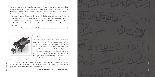Artur will repeat the cycle in Portugal and in Denmark and he will also record the complete solo piano works of Ravel for Linn Records. Concerto appearances include Beethoven's Fourth Piano Concerto with Sir Charles Mackerras and the Scottish Chamber Orchestra, Liszt's First Concerto with Lawrence Foster and the Gulbenkian Orchestra, Mozart's Coronation Concerto with the Portuguese Symphony Orchestra, Schumann Piano Concerto with Okko Kamu and the Singapore Symphony Orchestra, Tchaikovsky First Concerto with Christian Mandeal and the Gulbenkian Orchestra and Saint-Saëns Fifth Concerto with Vladimir Jurowski and the London Philharmonic Orchestra.

(Visit Artur Pizarro's official website at www.tomcroxonmanagement.co.uk)



#### **BLÜTHNER**

Blüthner is a name rich in tradition and famous throughout the world for producing pianos of the highest quality. For 150 years the story of Blüthner has been one of success, trial and tribulation, but intrepid survival. After two world wars, The Great Depression, the communist occupation of East Germany, and the total loss of its Leipzig factory in an air-raid over 60 years ago, the Blüthner Company has survived.

Today it thrives once more in the hands of the same remarkable family that founded one of the world's best loved piano makers a century-and-a-half ago.

The outstanding workmanship, innovations in the construction of the instruments and the romantic tones which combine effortless power with the tenderest pianissimo have brought Blüthner wide acclaim.

**(For more information visit www.bluthners.co.uk)**